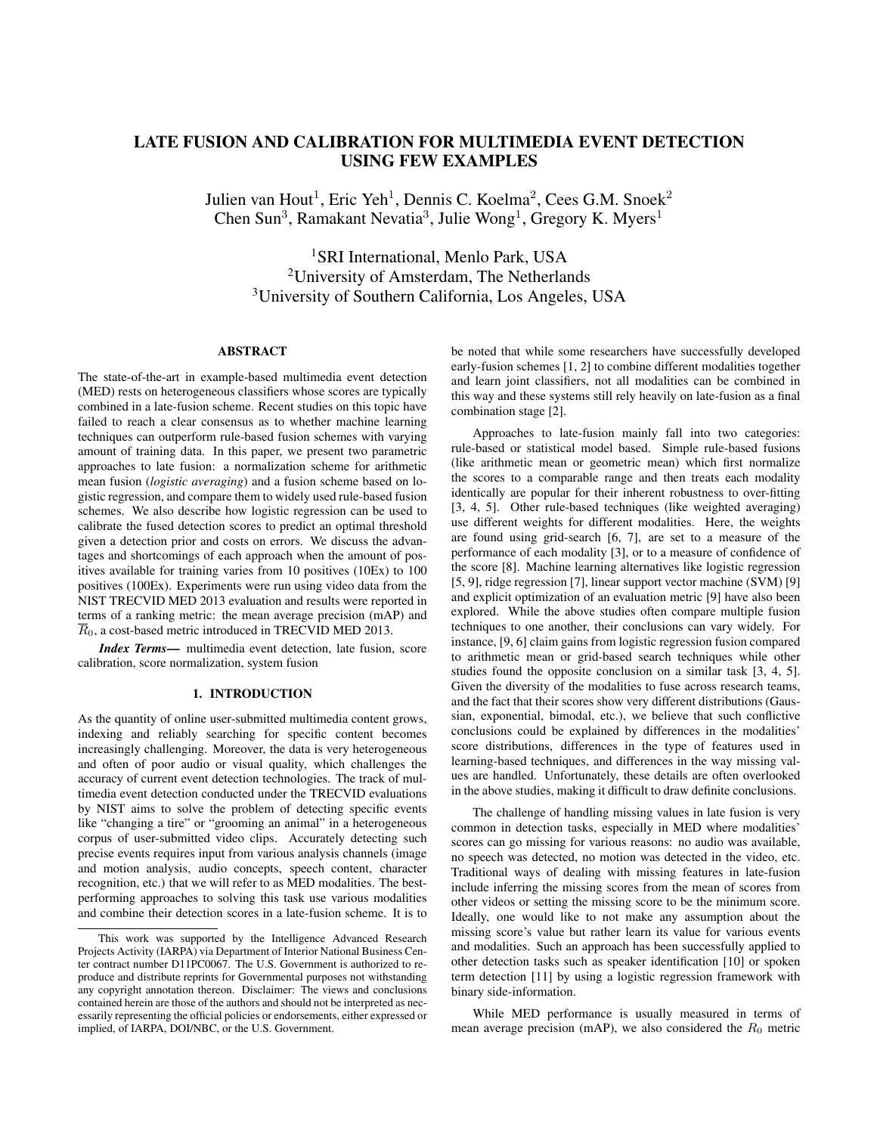# LATE FUSION AND CALIBRATION FOR MULTIMEDIA EVENT DETECTION USING FEW EXAMPLES

Julien van Hout<sup>1</sup>, Eric Yeh<sup>1</sup>, Dennis C. Koelma<sup>2</sup>, Cees G.M. Snoek<sup>2</sup> Chen Sun<sup>3</sup>, Ramakant Nevatia<sup>3</sup>, Julie Wong<sup>1</sup>, Gregory K. Myers<sup>1</sup>

> <sup>1</sup>SRI International, Menlo Park, USA 2University of Amsterdam, The Netherlands 3University of Southern California, Los Angeles, USA

## ABSTRACT

The state-of-the-art in example-based multimedia event detection (MED) rests on heterogeneous classifiers whose scores are typically combined in a late-fusion scheme. Recent studies on this topic have failed to reach a clear consensus as to whether machine learning techniques can outperform rule-based fusion schemes with varying amount of training data. In this paper, we present two parametric approaches to late fusion: a normalization scheme for arithmetic mean fusion (*logistic averaging*) and a fusion scheme based on logistic regression, and compare them to widely used rule-based fusion schemes. We also describe how logistic regression can be used to calibrate the fused detection scores to predict an optimal threshold given a detection prior and costs on errors. We discuss the advantages and shortcomings of each approach when the amount of positives available for training varies from 10 positives (10Ex) to 100 positives (100Ex). Experiments were run using video data from the NIST TRECVID MED 2013 evaluation and results were reported in terms of a ranking metric: the mean average precision (mAP) and  $\overline{R}_0$ , a cost-based metric introduced in TRECVID MED 2013.

*Index Terms*— multimedia event detection, late fusion, score calibration, score normalization, system fusion

# 1. INTRODUCTION

As the quantity of online user-submitted multimedia content grows, indexing and reliably searching for specific content becomes increasingly challenging. Moreover, the data is very heterogeneous and often of poor audio or visual quality, which challenges the accuracy of current event detection technologies. The track of multimedia event detection conducted under the TRECVID evaluations by NIST aims to solve the problem of detecting specific events like "changing a tire" or "grooming an animal" in a heterogeneous corpus of user-submitted video clips. Accurately detecting such precise events requires input from various analysis channels (image and motion analysis, audio concepts, speech content, character recognition, etc.) that we will refer to as MED modalities. The bestperforming approaches to solving this task use various modalities and combine their detection scores in a late-fusion scheme. It is to be noted that while some researchers have successfully developed early-fusion schemes [1, 2] to combine different modalities together and learn joint classifiers, not all modalities can be combined in this way and these systems still rely heavily on late-fusion as a final combination stage [2].

Approaches to late-fusion mainly fall into two categories: rule-based or statistical model based. Simple rule-based fusions (like arithmetic mean or geometric mean) which first normalize the scores to a comparable range and then treats each modality identically are popular for their inherent robustness to over-fitting [3, 4, 5]. Other rule-based techniques (like weighted averaging) use different weights for different modalities. Here, the weights are found using grid-search [6, 7], are set to a measure of the performance of each modality [3], or to a measure of confidence of the score [8]. Machine learning alternatives like logistic regression [5, 9], ridge regression [7], linear support vector machine (SVM) [9] and explicit optimization of an evaluation metric [9] have also been explored. While the above studies often compare multiple fusion techniques to one another, their conclusions can vary widely. For instance, [9, 6] claim gains from logistic regression fusion compared to arithmetic mean or grid-based search techniques while other studies found the opposite conclusion on a similar task [3, 4, 5]. Given the diversity of the modalities to fuse across research teams, and the fact that their scores show very different distributions (Gaussian, exponential, bimodal, etc.), we believe that such conflictive conclusions could be explained by differences in the modalities' score distributions, differences in the type of features used in learning-based techniques, and differences in the way missing values are handled. Unfortunately, these details are often overlooked in the above studies, making it difficult to draw definite conclusions.

The challenge of handling missing values in late fusion is very common in detection tasks, especially in MED where modalities' scores can go missing for various reasons: no audio was available, no speech was detected, no motion was detected in the video, etc. Traditional ways of dealing with missing features in late-fusion include inferring the missing scores from the mean of scores from other videos or setting the missing score to be the minimum score. Ideally, one would like to not make any assumption about the missing score's value but rather learn its value for various events and modalities. Such an approach has been successfully applied to other detection tasks such as speaker identification [10] or spoken term detection [11] by using a logistic regression framework with binary side-information.

While MED performance is usually measured in terms of mean average precision (mAP), we also considered the  $R_0$  metric

This work was supported by the Intelligence Advanced Research Projects Activity (IARPA) via Department of Interior National Business Center contract number D11PC0067. The U.S. Government is authorized to reproduce and distribute reprints for Governmental purposes not withstanding any copyright annotation thereon. Disclaimer: The views and conclusions contained herein are those of the authors and should not be interpreted as necessarily representing the official policies or endorsements, either expressed or implied, of IARPA, DOI/NBC, or the U.S. Government.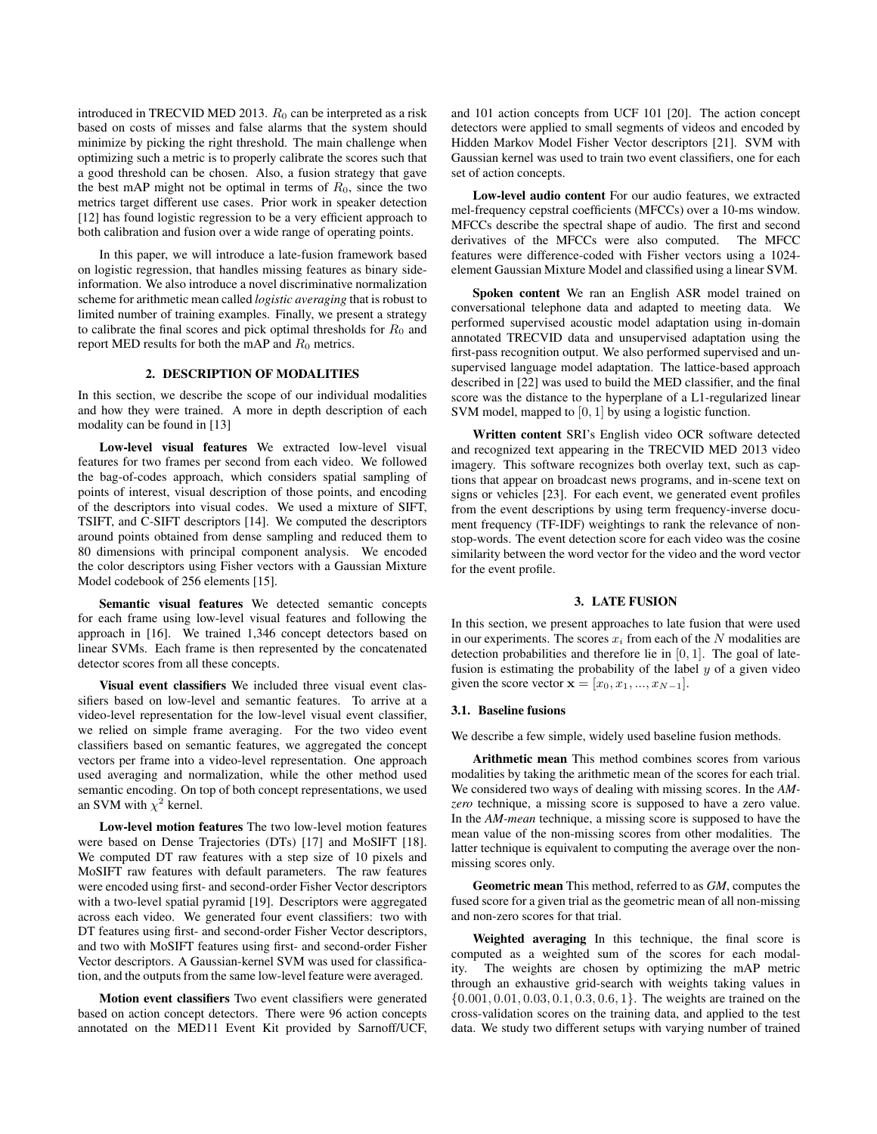introduced in TRECVID MED 2013.  $R_0$  can be interpreted as a risk based on costs of misses and false alarms that the system should minimize by picking the right threshold. The main challenge when optimizing such a metric is to properly calibrate the scores such that a good threshold can be chosen. Also, a fusion strategy that gave the best mAP might not be optimal in terms of  $R_0$ , since the two metrics target different use cases. Prior work in speaker detection [12] has found logistic regression to be a very efficient approach to both calibration and fusion over a wide range of operating points.

In this paper, we will introduce a late-fusion framework based on logistic regression, that handles missing features as binary sideinformation. We also introduce a novel discriminative normalization scheme for arithmetic mean called *logistic averaging* that is robust to limited number of training examples. Finally, we present a strategy to calibrate the final scores and pick optimal thresholds for  $R_0$  and report MED results for both the mAP and *R*<sup>0</sup> metrics.

#### 2. DESCRIPTION OF MODALITIES

In this section, we describe the scope of our individual modalities and how they were trained. A more in depth description of each modality can be found in [13]

Low-level visual features We extracted low-level visual features for two frames per second from each video. We followed the bag-of-codes approach, which considers spatial sampling of points of interest, visual description of those points, and encoding of the descriptors into visual codes. We used a mixture of SIFT, TSIFT, and C-SIFT descriptors [14]. We computed the descriptors around points obtained from dense sampling and reduced them to 80 dimensions with principal component analysis. We encoded the color descriptors using Fisher vectors with a Gaussian Mixture Model codebook of 256 elements [15].

Semantic visual features We detected semantic concepts for each frame using low-level visual features and following the approach in [16]. We trained 1,346 concept detectors based on linear SVMs. Each frame is then represented by the concatenated detector scores from all these concepts.

Visual event classifiers We included three visual event classifiers based on low-level and semantic features. To arrive at a video-level representation for the low-level visual event classifier, we relied on simple frame averaging. For the two video event classifiers based on semantic features, we aggregated the concept vectors per frame into a video-level representation. One approach used averaging and normalization, while the other method used semantic encoding. On top of both concept representations, we used an SVM with  $\chi^2$  kernel.

Low-level motion features The two low-level motion features were based on Dense Trajectories (DTs) [17] and MoSIFT [18]. We computed DT raw features with a step size of 10 pixels and MoSIFT raw features with default parameters. The raw features were encoded using first- and second-order Fisher Vector descriptors with a two-level spatial pyramid [19]. Descriptors were aggregated across each video. We generated four event classifiers: two with DT features using first- and second-order Fisher Vector descriptors, and two with MoSIFT features using first- and second-order Fisher Vector descriptors. A Gaussian-kernel SVM was used for classification, and the outputs from the same low-level feature were averaged.

Motion event classifiers Two event classifiers were generated based on action concept detectors. There were 96 action concepts annotated on the MED11 Event Kit provided by Sarnoff/UCF,

and 101 action concepts from UCF 101 [20]. The action concept detectors were applied to small segments of videos and encoded by Hidden Markov Model Fisher Vector descriptors [21]. SVM with Gaussian kernel was used to train two event classifiers, one for each set of action concepts.

Low-level audio content For our audio features, we extracted mel-frequency cepstral coefficients (MFCCs) over a 10-ms window. MFCCs describe the spectral shape of audio. The first and second derivatives of the MFCCs were also computed. The MFCC features were difference-coded with Fisher vectors using a 1024 element Gaussian Mixture Model and classified using a linear SVM.

Spoken content We ran an English ASR model trained on conversational telephone data and adapted to meeting data. We performed supervised acoustic model adaptation using in-domain annotated TRECVID data and unsupervised adaptation using the first-pass recognition output. We also performed supervised and unsupervised language model adaptation. The lattice-based approach described in [22] was used to build the MED classifier, and the final score was the distance to the hyperplane of a L1-regularized linear SVM model, mapped to [0*,* 1] by using a logistic function.

Written content SRI's English video OCR software detected and recognized text appearing in the TRECVID MED 2013 video imagery. This software recognizes both overlay text, such as captions that appear on broadcast news programs, and in-scene text on signs or vehicles [23]. For each event, we generated event profiles from the event descriptions by using term frequency-inverse document frequency (TF-IDF) weightings to rank the relevance of nonstop-words. The event detection score for each video was the cosine similarity between the word vector for the video and the word vector for the event profile.

# 3. LATE FUSION

In this section, we present approaches to late fusion that were used in our experiments. The scores  $x_i$  from each of the  $N$  modalities are detection probabilities and therefore lie in [0*,* 1]. The goal of latefusion is estimating the probability of the label *y* of a given video given the score vector  $x = [x_0, x_1, ..., x_{N-1}].$ 

#### 3.1. Baseline fusions

We describe a few simple, widely used baseline fusion methods.

Arithmetic mean This method combines scores from various modalities by taking the arithmetic mean of the scores for each trial. We considered two ways of dealing with missing scores. In the *AMzero* technique, a missing score is supposed to have a zero value. In the *AM-mean* technique, a missing score is supposed to have the mean value of the non-missing scores from other modalities. The latter technique is equivalent to computing the average over the nonmissing scores only.

Geometric mean This method, referred to as *GM*, computes the fused score for a given trial as the geometric mean of all non-missing and non-zero scores for that trial.

Weighted averaging In this technique, the final score is computed as a weighted sum of the scores for each modality. The weights are chosen by optimizing the mAP metric through an exhaustive grid-search with weights taking values in *{*0*.*001*,* 0*.*01*,* 0*.*03*,* 0*.*1*,* 0*.*3*,* 0*.*6*,* 1*}*. The weights are trained on the cross-validation scores on the training data, and applied to the test data. We study two different setups with varying number of trained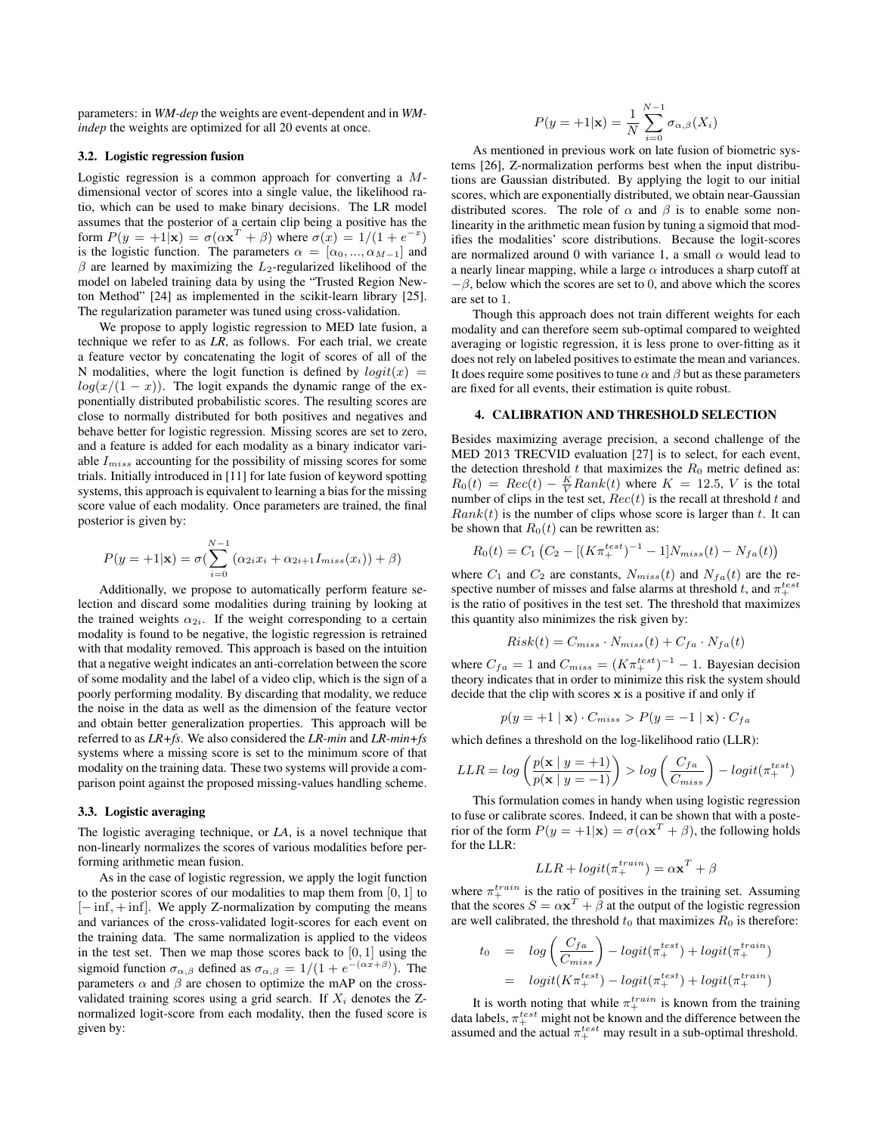parameters: in *WM-dep* the weights are event-dependent and in *WMindep* the weights are optimized for all 20 events at once.

#### 3.2. Logistic regression fusion

Logistic regression is a common approach for converting a *M*dimensional vector of scores into a single value, the likelihood ratio, which can be used to make binary decisions. The LR model assumes that the posterior of a certain clip being a positive has the form  $P(y = +1|\mathbf{x}) = \sigma(\alpha \mathbf{x}^T + \beta)$  where  $\sigma(x) = 1/(1 + e^{-x})$ is the logistic function. The parameters  $\alpha = [\alpha_0, ..., \alpha_{M-1}]$  and  $\beta$  are learned by maximizing the *L*<sub>2</sub>-regularized likelihood of the model on labeled training data by using the "Trusted Region Newton Method" [24] as implemented in the scikit-learn library [25]. The regularization parameter was tuned using cross-validation.

We propose to apply logistic regression to MED late fusion, a technique we refer to as *LR*, as follows. For each trial, we create a feature vector by concatenating the logit of scores of all of the N modalities, where the logit function is defined by  $logit(x)$  $log(x/(1 - x))$ . The logit expands the dynamic range of the exponentially distributed probabilistic scores. The resulting scores are close to normally distributed for both positives and negatives and behave better for logistic regression. Missing scores are set to zero, and a feature is added for each modality as a binary indicator variable *Imiss* accounting for the possibility of missing scores for some trials. Initially introduced in [11] for late fusion of keyword spotting systems, this approach is equivalent to learning a bias for the missing score value of each modality. Once parameters are trained, the final posterior is given by:

$$
P(y = +1|\mathbf{x}) = \sigma\left(\sum_{i=0}^{N-1} (\alpha_{2i}x_i + \alpha_{2i+1}I_{miss}(x_i)) + \beta\right)
$$

Additionally, we propose to automatically perform feature selection and discard some modalities during training by looking at the trained weights  $\alpha_{2i}$ . If the weight corresponding to a certain modality is found to be negative, the logistic regression is retrained with that modality removed. This approach is based on the intuition that a negative weight indicates an anti-correlation between the score of some modality and the label of a video clip, which is the sign of a poorly performing modality. By discarding that modality, we reduce the noise in the data as well as the dimension of the feature vector and obtain better generalization properties. This approach will be referred to as *LR+fs*. We also considered the *LR-min* and *LR-min+fs* systems where a missing score is set to the minimum score of that modality on the training data. These two systems will provide a comparison point against the proposed missing-values handling scheme.

### 3.3. Logistic averaging

The logistic averaging technique, or *LA*, is a novel technique that non-linearly normalizes the scores of various modalities before performing arithmetic mean fusion.

As in the case of logistic regression, we apply the logit function to the posterior scores of our modalities to map them from [0*,* 1] to  $[-\inf, +\inf]$ . We apply Z-normalization by computing the means and variances of the cross-validated logit-scores for each event on the training data. The same normalization is applied to the videos in the test set. Then we map those scores back to [0*,* 1] using the sigmoid function  $\sigma_{\alpha,\beta}$  defined as  $\sigma_{\alpha,\beta} = 1/(1 + e^{-(\alpha x + \beta)})$ . The parameters  $\alpha$  and  $\beta$  are chosen to optimize the mAP on the crossvalidated training scores using a grid search. If  $X_i$  denotes the Znormalized logit-score from each modality, then the fused score is given by:

$$
P(y = +1|\mathbf{x}) = \frac{1}{N} \sum_{i=0}^{N-1} \sigma_{\alpha,\beta}(X_i)
$$

As mentioned in previous work on late fusion of biometric systems [26], Z-normalization performs best when the input distributions are Gaussian distributed. By applying the logit to our initial scores, which are exponentially distributed, we obtain near-Gaussian distributed scores. The role of  $\alpha$  and  $\beta$  is to enable some nonlinearity in the arithmetic mean fusion by tuning a sigmoid that modifies the modalities' score distributions. Because the logit-scores are normalized around 0 with variance 1, a small  $\alpha$  would lead to a nearly linear mapping, while a large  $\alpha$  introduces a sharp cutoff at  $-\beta$ , below which the scores are set to 0, and above which the scores are set to 1.

Though this approach does not train different weights for each modality and can therefore seem sub-optimal compared to weighted averaging or logistic regression, it is less prone to over-fitting as it does not rely on labeled positives to estimate the mean and variances. It does require some positives to tune  $\alpha$  and  $\beta$  but as these parameters are fixed for all events, their estimation is quite robust.

#### 4. CALIBRATION AND THRESHOLD SELECTION

Besides maximizing average precision, a second challenge of the MED 2013 TRECVID evaluation [27] is to select, for each event, the detection threshold  $t$  that maximizes the  $R_0$  metric defined as:  $R_0(t) = Rec(t) - \frac{K}{V}Rank(t)$  where  $K = 12.5$ , *V* is the total number of clips in the test set, *Rec*(*t*) is the recall at threshold *t* and  $Rank(t)$  is the number of clips whose score is larger than  $t$ . It can be shown that  $R_0(t)$  can be rewritten as:

$$
R_0(t) = C_1 \left( C_2 - \left[ \left( K \pi_+^{test} \right)^{-1} - 1 \right] N_{miss}(t) - N_{fa}(t) \right)
$$

where  $C_1$  and  $C_2$  are constants,  $N_{miss}(t)$  and  $N_{fa}(t)$  are the respective number of misses and false alarms at threshold *t*, and  $\pi^{test}_+$ is the ratio of positives in the test set. The threshold that maximizes this quantity also minimizes the risk given by:

$$
Risk(t) = C_{miss} \cdot N_{miss}(t) + C_{fa} \cdot N_{fa}(t)
$$

where  $C_{fa} = 1$  and  $C_{miss} = (K\pi_+^{test})^{-1} - 1$ . Bayesian decision theory indicates that in order to minimize this risk the system should decide that the clip with scores  $x$  is a positive if and only if

$$
p(y = +1 | \mathbf{x}) \cdot C_{miss} > P(y = -1 | \mathbf{x}) \cdot C_{fa}
$$

which defines a threshold on the log-likelihood ratio (LLR):

$$
LLR = log\left(\frac{p(\mathbf{x} \mid y = +1)}{p(\mathbf{x} \mid y = -1)}\right) > log\left(\frac{C_{fa}}{C_{miss}}\right) - logit(\pi_+^{test})
$$

This formulation comes in handy when using logistic regression to fuse or calibrate scores. Indeed, it can be shown that with a posterior of the form  $P(y = +1|\mathbf{x}) = \sigma(\alpha \mathbf{x}^T + \beta)$ , the following holds for the LLR:

$$
LLR + logit(\pi_+^{train}) = \alpha \mathbf{x}^T + \beta
$$

where  $\pi^{train}_{+}$  is the ratio of positives in the training set. Assuming that the scores  $S = \alpha x^T + \beta$  at the output of the logistic regression are well calibrated, the threshold  $t_0$  that maximizes  $R_0$  is therefore:

$$
t_0 = \log\left(\frac{C_{fa}}{C_{miss}}\right) - \logit(\pi_+^{test}) + \logit(\pi_+^{train})
$$
  
= 
$$
\logit(K\pi_+^{test}) - \logit(\pi_+^{test}) + \logit(\pi_+^{train})
$$

It is worth noting that while  $\pi^{train}_+$  is known from the training data labels,  $\pi^{test}_{+}$  might not be known and the difference between the assumed and the actual  $\pi^{test}_+$  may result in a sub-optimal threshold.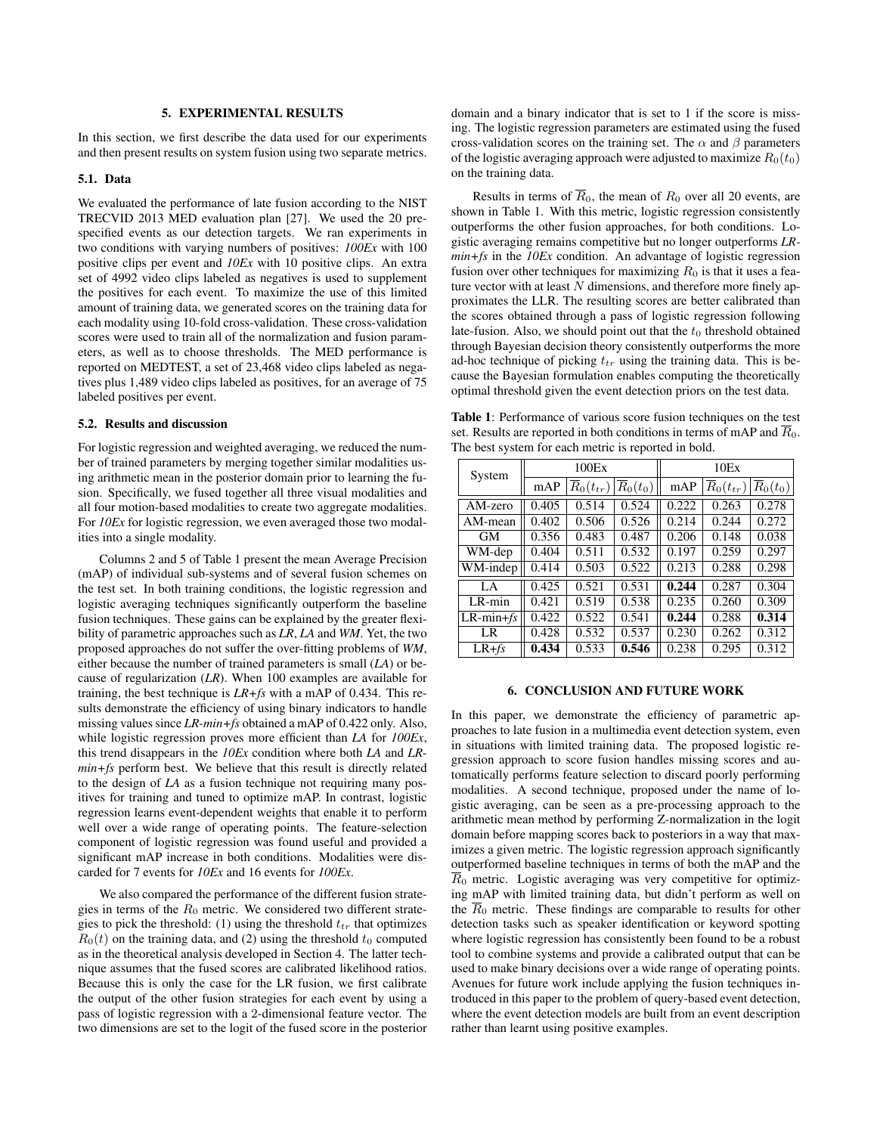#### 5. EXPERIMENTAL RESULTS

In this section, we first describe the data used for our experiments and then present results on system fusion using two separate metrics.

## 5.1. Data

We evaluated the performance of late fusion according to the NIST TRECVID 2013 MED evaluation plan [27]. We used the 20 prespecified events as our detection targets. We ran experiments in two conditions with varying numbers of positives: *100Ex* with 100 positive clips per event and *10Ex* with 10 positive clips. An extra set of 4992 video clips labeled as negatives is used to supplement the positives for each event. To maximize the use of this limited amount of training data, we generated scores on the training data for each modality using 10-fold cross-validation. These cross-validation scores were used to train all of the normalization and fusion parameters, as well as to choose thresholds. The MED performance is reported on MEDTEST, a set of 23,468 video clips labeled as negatives plus 1,489 video clips labeled as positives, for an average of 75 labeled positives per event.

# 5.2. Results and discussion

For logistic regression and weighted averaging, we reduced the number of trained parameters by merging together similar modalities using arithmetic mean in the posterior domain prior to learning the fusion. Specifically, we fused together all three visual modalities and all four motion-based modalities to create two aggregate modalities. For *10Ex* for logistic regression, we even averaged those two modalities into a single modality.

Columns 2 and 5 of Table 1 present the mean Average Precision (mAP) of individual sub-systems and of several fusion schemes on the test set. In both training conditions, the logistic regression and logistic averaging techniques significantly outperform the baseline fusion techniques. These gains can be explained by the greater flexibility of parametric approaches such as *LR*, *LA* and *WM*. Yet, the two proposed approaches do not suffer the over-fitting problems of *WM*, either because the number of trained parameters is small (*LA*) or because of regularization (*LR*). When 100 examples are available for training, the best technique is *LR+fs* with a mAP of 0.434. This results demonstrate the efficiency of using binary indicators to handle missing values since *LR-min+fs* obtained a mAP of 0.422 only. Also, while logistic regression proves more efficient than *LA* for *100Ex*, this trend disappears in the *10Ex* condition where both *LA* and *LRmin+fs* perform best. We believe that this result is directly related to the design of *LA* as a fusion technique not requiring many positives for training and tuned to optimize mAP. In contrast, logistic regression learns event-dependent weights that enable it to perform well over a wide range of operating points. The feature-selection component of logistic regression was found useful and provided a significant mAP increase in both conditions. Modalities were discarded for 7 events for *10Ex* and 16 events for *100Ex*.

We also compared the performance of the different fusion strategies in terms of the  $R_0$  metric. We considered two different strategies to pick the threshold: (1) using the threshold  $t_{tr}$  that optimizes  $R_0(t)$  on the training data, and (2) using the threshold  $t_0$  computed as in the theoretical analysis developed in Section 4. The latter technique assumes that the fused scores are calibrated likelihood ratios. Because this is only the case for the LR fusion, we first calibrate the output of the other fusion strategies for each event by using a pass of logistic regression with a 2-dimensional feature vector. The two dimensions are set to the logit of the fused score in the posterior

domain and a binary indicator that is set to 1 if the score is missing. The logistic regression parameters are estimated using the fused cross-validation scores on the training set. The  $\alpha$  and  $\beta$  parameters of the logistic averaging approach were adjusted to maximize  $R_0(t_0)$ on the training data.

Results in terms of  $\overline{R}_0$ , the mean of  $R_0$  over all 20 events, are shown in Table 1. With this metric, logistic regression consistently outperforms the other fusion approaches, for both conditions. Logistic averaging remains competitive but no longer outperforms *LRmin+fs* in the *10Ex* condition. An advantage of logistic regression fusion over other techniques for maximizing  $R_0$  is that it uses a feature vector with at least *N* dimensions, and therefore more finely approximates the LLR. The resulting scores are better calibrated than the scores obtained through a pass of logistic regression following late-fusion. Also, we should point out that the  $t_0$  threshold obtained through Bayesian decision theory consistently outperforms the more ad-hoc technique of picking *ttr* using the training data. This is because the Bayesian formulation enables computing the theoretically optimal threshold given the event detection priors on the test data.

Table 1: Performance of various score fusion techniques on the test set. Results are reported in both conditions in terms of mAP and *R*0. The best system for each metric is reported in bold.

| System          | 100Ex |                          |                       | 10Ex  |                          |                       |
|-----------------|-------|--------------------------|-----------------------|-------|--------------------------|-----------------------|
|                 | mAP   | $\overline{R}_0(t_{tr})$ | $\overline{R}_0(t_0)$ | mAP   | $\overline{R}_0(t_{tr})$ | $\overline{R}_0(t_0)$ |
| $AM$ -zero      | 0.405 | 0.514                    | 0.524                 | 0.222 | 0.263                    | 0.278                 |
| $AM$ -mean      | 0.402 | 0.506                    | 0.526                 | 0.214 | 0.244                    | 0.272                 |
| <b>GM</b>       | 0.356 | 0.483                    | 0.487                 | 0.206 | 0.148                    | 0.038                 |
| WM-dep          | 0.404 | 0.511                    | 0.532                 | 0.197 | 0.259                    | 0.297                 |
| WM-indep        | 0.414 | 0.503                    | 0.522                 | 0.213 | 0.288                    | 0.298                 |
| LA.             | 0.425 | 0.521                    | 0.531                 | 0.244 | 0.287                    | 0.304                 |
| $LR$ -min       | 0.421 | 0.519                    | 0.538                 | 0.235 | 0.260                    | 0.309                 |
| $LR$ -min+ $fs$ | 0.422 | 0.522                    | 0.541                 | 0.244 | 0.288                    | 0.314                 |
| LR              | 0.428 | 0.532                    | 0.537                 | 0.230 | 0.262                    | 0.312                 |
| $LR + fs$       | 0.434 | 0.533                    | 0.546                 | 0.238 | 0.295                    | 0.312                 |

### 6. CONCLUSION AND FUTURE WORK

In this paper, we demonstrate the efficiency of parametric approaches to late fusion in a multimedia event detection system, even in situations with limited training data. The proposed logistic regression approach to score fusion handles missing scores and automatically performs feature selection to discard poorly performing modalities. A second technique, proposed under the name of logistic averaging, can be seen as a pre-processing approach to the arithmetic mean method by performing Z-normalization in the logit domain before mapping scores back to posteriors in a way that maximizes a given metric. The logistic regression approach significantly outperformed baseline techniques in terms of both the mAP and the *R*<sup>0</sup> metric. Logistic averaging was very competitive for optimizing mAP with limited training data, but didn't perform as well on the  $R_0$  metric. These findings are comparable to results for other detection tasks such as speaker identification or keyword spotting where logistic regression has consistently been found to be a robust tool to combine systems and provide a calibrated output that can be used to make binary decisions over a wide range of operating points. Avenues for future work include applying the fusion techniques introduced in this paper to the problem of query-based event detection, where the event detection models are built from an event description rather than learnt using positive examples.